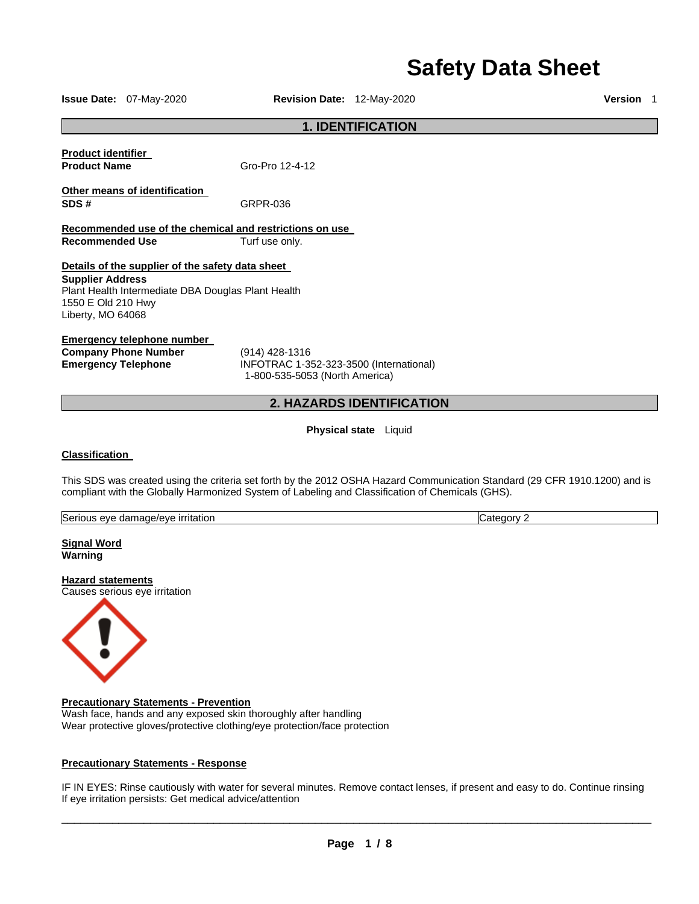# **Safety Data Sheet**

**Issue Date:** 07-May-2020 **Revision Date:** 12-May-2020 **Version** 1

# **1. IDENTIFICATION**

| <b>Product identifier</b> |                 |
|---------------------------|-----------------|
| <b>Product Name</b>       | Gro-Pro 12-4-12 |

**Other means of identification SDS #** GRPR-036

**Recommended use of the chemical and restrictions on use Recommended Use Turf use only.** 

# **Details of the supplier of the safety data sheet**

**Supplier Address** Plant Health Intermediate DBA Douglas Plant Health 1550 E Old 210 Hwy Liberty, MO 64068

## **Emergency telephone number**

**Company Phone Number** (914) 428-1316

**Emergency Telephone** INFOTRAC 1-352-323-3500 (International) 1-800-535-5053 (North America)

# **2. HAZARDS IDENTIFICATION**

**Physical state** Liquid

# **Classification**

This SDS was created using the criteria set forth by the 2012 OSHA Hazard Communication Standard (29 CFR 1910.1200) and is compliant with the Globally Harmonized System of Labeling and Classification of Chemicals (GHS).

| ritation<br>. damade/eve<br>seric<br>או ור<br>۷۵، م<br>. . | ∴ ו ∩† ר |
|------------------------------------------------------------|----------|
|                                                            |          |

**Signal Word Warning** 

# **Hazard statements**

Causes serious eye irritation



#### **Precautionary Statements - Prevention**

Wash face, hands and any exposed skin thoroughly after handling Wear protective gloves/protective clothing/eye protection/face protection

## **Precautionary Statements - Response**

IF IN EYES: Rinse cautiously with water for several minutes. Remove contact lenses, if present and easy to do. Continue rinsing If eye irritation persists: Get medical advice/attention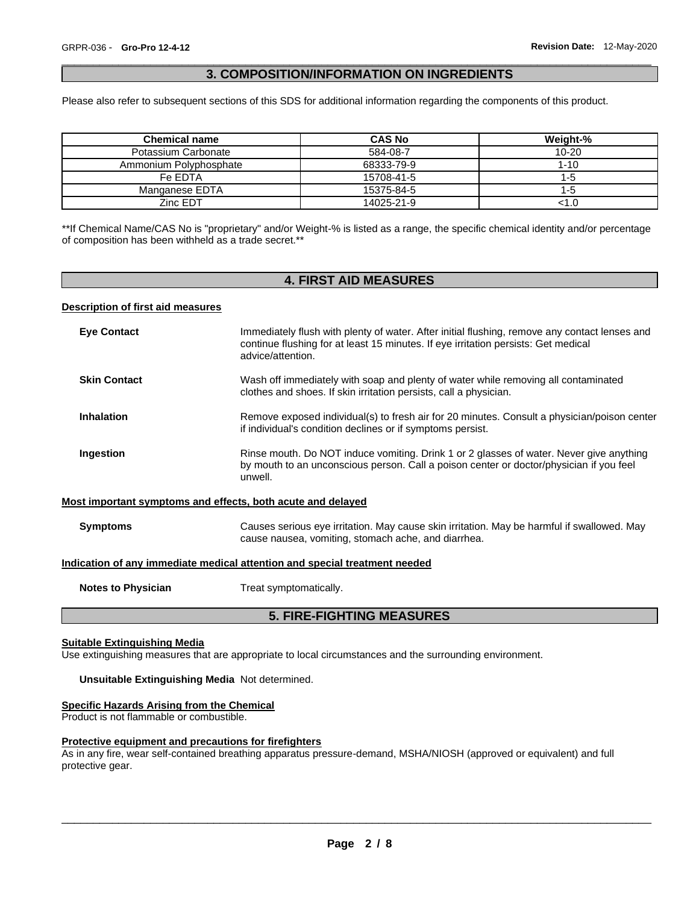## \_\_\_\_\_\_\_\_\_\_\_\_\_\_\_\_\_\_\_\_\_\_\_\_\_\_\_\_\_\_\_\_\_\_\_\_\_\_\_\_\_\_\_\_\_\_\_\_\_\_\_\_\_\_\_\_\_\_\_\_\_\_\_\_\_\_\_\_\_\_\_\_\_\_\_\_\_\_\_\_\_\_\_\_\_\_\_\_\_\_\_\_\_ **3. COMPOSITION/INFORMATION ON INGREDIENTS**

Please also refer to subsequent sections of this SDS for additional information regarding the components of this product.

| <b>Chemical name</b>   | <b>CAS No</b> | Weight-%  |
|------------------------|---------------|-----------|
| Potassium Carbonate    | 584-08-7      | $10 - 20$ |
| Ammonium Polyphosphate | 68333-79-9    | $1 - 10$  |
| Fe EDTA                | 15708-41-5    | 1-5       |
| Manganese EDTA         | 15375-84-5    | 1-5       |
| Zinc EDT               | 14025-21-9    | :1.0      |

\*\*If Chemical Name/CAS No is "proprietary" and/or Weight-% is listed as a range, the specific chemical identity and/or percentage of composition has been withheld as a trade secret.\*\*

# **4. FIRST AID MEASURES**

#### **Description of first aid measures**

| <b>Eye Contact</b>                                                                | Immediately flush with plenty of water. After initial flushing, remove any contact lenses and<br>continue flushing for at least 15 minutes. If eye irritation persists: Get medical<br>advice/attention. |  |
|-----------------------------------------------------------------------------------|----------------------------------------------------------------------------------------------------------------------------------------------------------------------------------------------------------|--|
| <b>Skin Contact</b>                                                               | Wash off immediately with soap and plenty of water while removing all contaminated<br>clothes and shoes. If skin irritation persists, call a physician.                                                  |  |
| <b>Inhalation</b>                                                                 | Remove exposed individual(s) to fresh air for 20 minutes. Consult a physician/poison center<br>if individual's condition declines or if symptoms persist.                                                |  |
| Ingestion                                                                         | Rinse mouth. Do NOT induce vomiting. Drink 1 or 2 glasses of water. Never give anything<br>by mouth to an unconscious person. Call a poison center or doctor/physician if you feel<br>unwell.            |  |
| Most important symptoms and effects, both acute and delayed                       |                                                                                                                                                                                                          |  |
| <b>Symptoms</b>                                                                   | Causes serious eye irritation. May cause skin irritation. May be harmful if swallowed. May<br>cause nausea, vomiting, stomach ache, and diarrhea.                                                        |  |
| <u>Indication of any immediate medical attention and special treatment needed</u> |                                                                                                                                                                                                          |  |

**Notes to Physician**  Treat symptomatically.

# **5. FIRE-FIGHTING MEASURES**

## **Suitable Extinguishing Media**

Use extinguishing measures that are appropriate to local circumstances and the surrounding environment.

### **Unsuitable Extinguishing Media** Not determined.

## **Specific Hazards Arising from the Chemical**

Product is not flammable or combustible.

# **Protective equipment and precautions for firefighters**

As in any fire, wear self-contained breathing apparatus pressure-demand, MSHA/NIOSH (approved or equivalent) and full protective gear.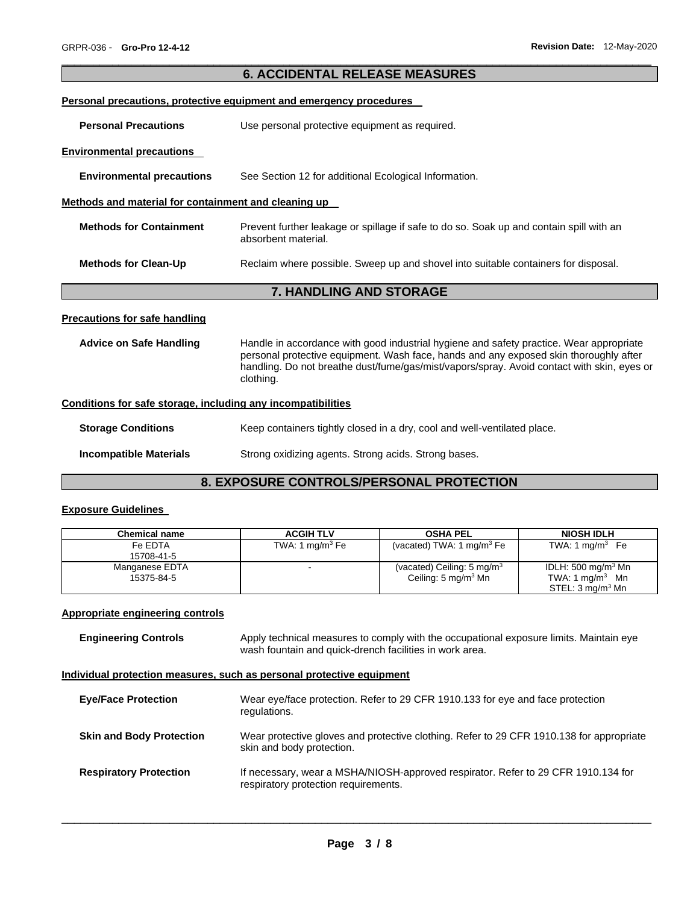| <b>6. ACCIDENTAL RELEASE MEASURES</b>                        |                                                                                                                                                                                                  |  |
|--------------------------------------------------------------|--------------------------------------------------------------------------------------------------------------------------------------------------------------------------------------------------|--|
|                                                              | Personal precautions, protective equipment and emergency procedures                                                                                                                              |  |
| <b>Personal Precautions</b>                                  | Use personal protective equipment as required.                                                                                                                                                   |  |
| <b>Environmental precautions</b>                             |                                                                                                                                                                                                  |  |
| <b>Environmental precautions</b>                             | See Section 12 for additional Ecological Information.                                                                                                                                            |  |
| Methods and material for containment and cleaning up         |                                                                                                                                                                                                  |  |
| <b>Methods for Containment</b>                               | Prevent further leakage or spillage if safe to do so. Soak up and contain spill with an<br>absorbent material.                                                                                   |  |
| <b>Methods for Clean-Up</b>                                  | Reclaim where possible. Sweep up and shovel into suitable containers for disposal.                                                                                                               |  |
|                                                              | 7. HANDLING AND STORAGE                                                                                                                                                                          |  |
| <b>Precautions for safe handling</b>                         |                                                                                                                                                                                                  |  |
| <b>Advice on Safe Handling</b>                               | Handle in accordance with good industrial hygiene and safety practice. Wear appropriate                                                                                                          |  |
|                                                              | personal protective equipment. Wash face, hands and any exposed skin thoroughly after<br>handling. Do not breathe dust/fume/gas/mist/vapors/spray. Avoid contact with skin, eyes or<br>clothing. |  |
| Conditions for safe storage, including any incompatibilities |                                                                                                                                                                                                  |  |
| <b>Storage Conditions</b>                                    | Keep containers tightly closed in a dry, cool and well-ventilated place.                                                                                                                         |  |

\_\_\_\_\_\_\_\_\_\_\_\_\_\_\_\_\_\_\_\_\_\_\_\_\_\_\_\_\_\_\_\_\_\_\_\_\_\_\_\_\_\_\_\_\_\_\_\_\_\_\_\_\_\_\_\_\_\_\_\_\_\_\_\_\_\_\_\_\_\_\_\_\_\_\_\_\_\_\_\_\_\_\_\_\_\_\_\_\_\_\_\_\_

# **8. EXPOSURE CONTROLS/PERSONAL PROTECTION**

# **Exposure Guidelines**

| <b>Chemical name</b> | <b>ACGIH TLV</b>   | <b>OSHA PEL</b>                       | <b>NIOSH IDLH</b>            |
|----------------------|--------------------|---------------------------------------|------------------------------|
| Fe EDTA              | TWA: 1 mg/m $3$ Fe | (vacated) TWA: 1 mg/m <sup>3</sup> Fe | TWA: $1 \text{ mg/m}^3$ Fe   |
| 15708-41-5           |                    |                                       |                              |
| Manganese EDTA       |                    | (vacated) Ceiling: $5 \text{ mg/m}^3$ | IDLH: 500 mg/m $3$ Mn        |
| 15375-84-5           |                    | Ceiling: 5 mg/m $3$ Mn                | TWA: $1 \text{ mg/m}^3$ Mn   |
|                      |                    |                                       | STEL: 3 mg/m <sup>3</sup> Mn |

# **Appropriate engineering controls**

| <b>Engineering Controls</b> | Apply technical measures to comply with the occupational exposure limits. Maintain eye |
|-----------------------------|----------------------------------------------------------------------------------------|
|                             | wash fountain and quick-drench facilities in work area.                                |

# **Individual protection measures, such as personal protective equipment**

| <b>Eye/Face Protection</b>      | Wear eye/face protection. Refer to 29 CFR 1910.133 for eye and face protection<br>regulations.                            |
|---------------------------------|---------------------------------------------------------------------------------------------------------------------------|
| <b>Skin and Body Protection</b> | Wear protective gloves and protective clothing. Refer to 29 CFR 1910.138 for appropriate<br>skin and body protection.     |
| <b>Respiratory Protection</b>   | If necessary, wear a MSHA/NIOSH-approved respirator. Refer to 29 CFR 1910.134 for<br>respiratory protection requirements. |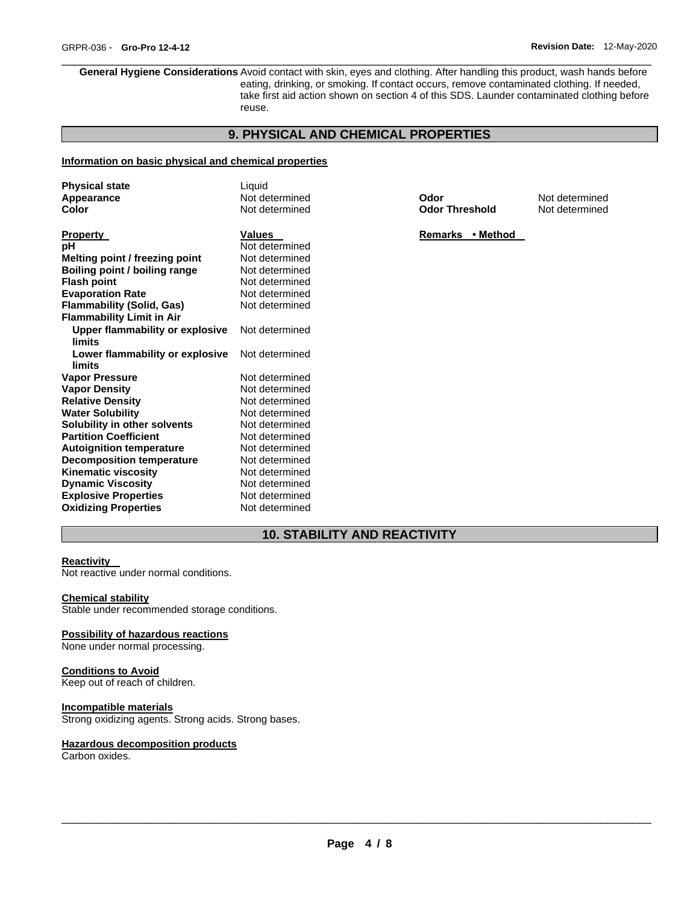**General Hygiene Considerations** Avoid contact with skin, eyes and clothing. After handling this product, wash hands before eating, drinking, or smoking. If contact occurs, remove contaminated clothing. If needed, take first aid action shown on section 4 of this SDS. Launder contaminated clothing before reuse.

\_\_\_\_\_\_\_\_\_\_\_\_\_\_\_\_\_\_\_\_\_\_\_\_\_\_\_\_\_\_\_\_\_\_\_\_\_\_\_\_\_\_\_\_\_\_\_\_\_\_\_\_\_\_\_\_\_\_\_\_\_\_\_\_\_\_\_\_\_\_\_\_\_\_\_\_\_\_\_\_\_\_\_\_\_\_\_\_\_\_\_\_\_

# **9. PHYSICAL AND CHEMICAL PROPERTIES**

## **Information on basic physical and chemical properties**

| <b>Physical state</b>            | Liquid         |                       |                |
|----------------------------------|----------------|-----------------------|----------------|
| Appearance                       | Not determined | Odor                  | Not determined |
| Color                            | Not determined | <b>Odor Threshold</b> | Not determined |
|                                  |                |                       |                |
| Property                         | <b>Values</b>  | Remarks • Method      |                |
| pН                               | Not determined |                       |                |
| Melting point / freezing point   | Not determined |                       |                |
| Boiling point / boiling range    | Not determined |                       |                |
| Flash point                      | Not determined |                       |                |
| <b>Evaporation Rate</b>          | Not determined |                       |                |
| Flammability (Solid, Gas)        | Not determined |                       |                |
| <b>Flammability Limit in Air</b> |                |                       |                |
| Upper flammability or explosive  | Not determined |                       |                |
| limits                           |                |                       |                |
| Lower flammability or explosive  | Not determined |                       |                |
| limits                           |                |                       |                |
| <b>Vapor Pressure</b>            | Not determined |                       |                |
| Vapor Density                    | Not determined |                       |                |
| <b>Relative Density</b>          | Not determined |                       |                |
| <b>Water Solubility</b>          | Not determined |                       |                |
| Solubility in other solvents     | Not determined |                       |                |
| <b>Partition Coefficient</b>     | Not determined |                       |                |
| <b>Autoignition temperature</b>  | Not determined |                       |                |
| <b>Decomposition temperature</b> | Not determined |                       |                |
| Kinematic viscosity              | Not determined |                       |                |
| <b>Dynamic Viscosity</b>         | Not determined |                       |                |
| <b>Explosive Properties</b>      | Not determined |                       |                |
| <b>Oxidizing Properties</b>      | Not determined |                       |                |

# **10. STABILITY AND REACTIVITY**

## **Reactivity**

Not reactive under normal conditions.

#### **Chemical stability**

Stable under recommended storage conditions.

## **Possibility of hazardous reactions**

None under normal processing.

#### **Conditions to Avoid**

Keep out of reach of children.

#### **Incompatible materials**

Strong oxidizing agents. Strong acids. Strong bases.

#### **Hazardous decomposition products**

Carbon oxides.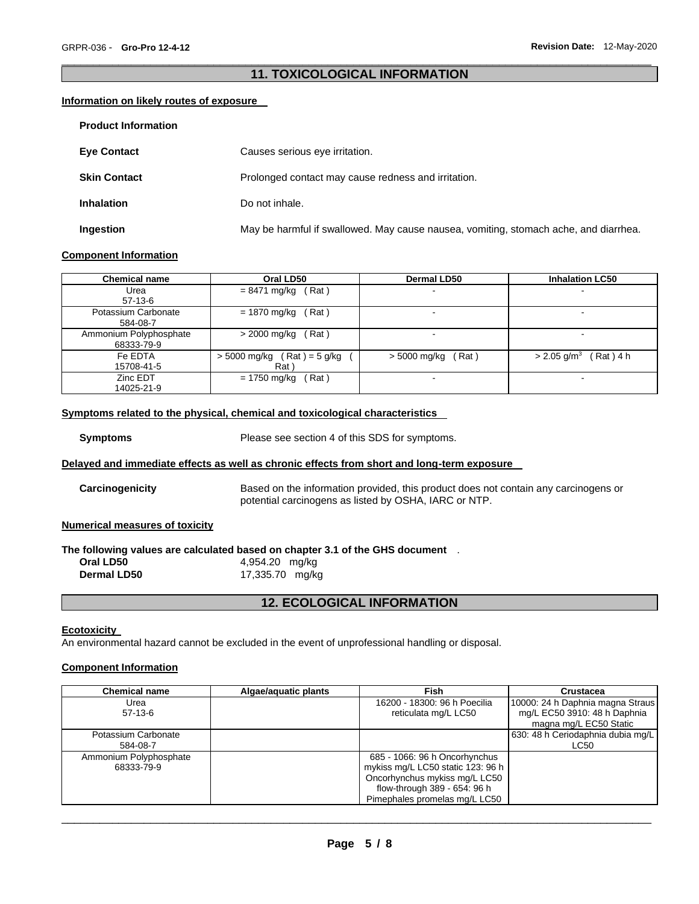# \_\_\_\_\_\_\_\_\_\_\_\_\_\_\_\_\_\_\_\_\_\_\_\_\_\_\_\_\_\_\_\_\_\_\_\_\_\_\_\_\_\_\_\_\_\_\_\_\_\_\_\_\_\_\_\_\_\_\_\_\_\_\_\_\_\_\_\_\_\_\_\_\_\_\_\_\_\_\_\_\_\_\_\_\_\_\_\_\_\_\_\_\_ **11. TOXICOLOGICAL INFORMATION**

## **Information on likely routes of exposure**

| <b>Product Information</b> |                                                                                      |
|----------------------------|--------------------------------------------------------------------------------------|
| <b>Eye Contact</b>         | Causes serious eye irritation.                                                       |
| <b>Skin Contact</b>        | Prolonged contact may cause redness and irritation.                                  |
| <b>Inhalation</b>          | Do not inhale.                                                                       |
| Ingestion                  | May be harmful if swallowed. May cause nausea, vomiting, stomach ache, and diarrhea. |

#### **Component Information**

| <b>Chemical name</b>   | Oral LD50                     | <b>Dermal LD50</b>       | <b>Inhalation LC50</b>                 |
|------------------------|-------------------------------|--------------------------|----------------------------------------|
| Urea                   | (Rat)<br>= 8471 mg/kg         | $\sim$                   | $\overline{\phantom{a}}$               |
| 57-13-6                |                               |                          |                                        |
| Potassium Carbonate    | = 1870 mg/kg<br>(Rat)         | $\overline{\phantom{0}}$ | -                                      |
| 584-08-7               |                               |                          |                                        |
| Ammonium Polyphosphate | Rat)<br>> 2000 mg/kg          | <b>100</b>               | $\sim$                                 |
| 68333-79-9             |                               |                          |                                        |
| Fe EDTA                | $> 5000$ mg/kg (Rat) = 5 g/kg | $>$ 5000 mg/kg (Rat)     | (Rat) 4 h<br>$>$ 2.05 g/m <sup>3</sup> |
| 15708-41-5             | Rat)                          |                          |                                        |
| Zinc EDT               | Rat)<br>= 1750 mg/kg          | $\overline{\phantom{0}}$ | $\overline{\phantom{a}}$               |
| 14025-21-9             |                               |                          |                                        |

## **Symptoms related to the physical, chemical and toxicological characteristics**

**Symptoms** Please see section 4 of this SDS for symptoms.

# **Delayed and immediate effects as well as chronic effects from short and long-term exposure**

**Carcinogenicity** Based on the information provided, this product does not contain any carcinogens or potential carcinogens as listed by OSHA, IARC or NTP.

#### **Numerical measures of toxicity**

#### **The following values are calculated based on chapter 3.1 of the GHS document** . **Oral LD50** 4,954.20 mg/kg **Dermal LD50** 17,335.70 mg/kg

**12. ECOLOGICAL INFORMATION** 

#### **Ecotoxicity**

An environmental hazard cannot be excluded in the event of unprofessional handling or disposal.

#### **Component Information**

| <b>Chemical name</b>   | Algae/aquatic plants | Fish                              | Crustacea                         |
|------------------------|----------------------|-----------------------------------|-----------------------------------|
| Urea                   |                      | 16200 - 18300: 96 h Poecilia      | 10000: 24 h Daphnia magna Straus  |
| $57-13-6$              |                      | reticulata mg/L LC50              | mg/L EC50 3910: 48 h Daphnia      |
|                        |                      |                                   | magna mg/L EC50 Static            |
| Potassium Carbonate    |                      |                                   | 630: 48 h Ceriodaphnia dubia mg/L |
| 584-08-7               |                      |                                   | LC50                              |
| Ammonium Polyphosphate |                      | 685 - 1066: 96 h Oncorhynchus     |                                   |
| 68333-79-9             |                      | mykiss mg/L LC50 static 123: 96 h |                                   |
|                        |                      | Oncorhynchus mykiss mg/L LC50     |                                   |
|                        |                      | flow-through 389 - 654: 96 h      |                                   |
|                        |                      | Pimephales promelas mg/L LC50     |                                   |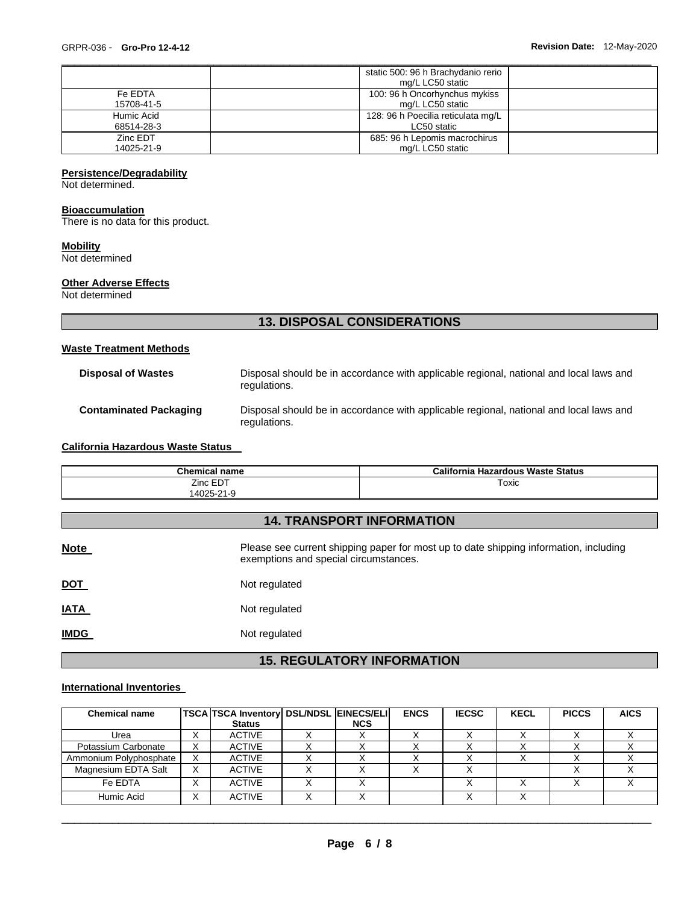|            | static 500: 96 h Brachydanio rerio |
|------------|------------------------------------|
|            | mg/L LC50 static                   |
| Fe EDTA    | 100: 96 h Oncorhynchus mykiss      |
| 15708-41-5 | mg/L LC50 static                   |
| Humic Acid | 128: 96 h Poecilia reticulata mg/L |
| 68514-28-3 | LC50 static                        |
| Zinc EDT   | 685: 96 h Lepomis macrochirus      |
| 14025-21-9 | mg/L LC50 static                   |

\_\_\_\_\_\_\_\_\_\_\_\_\_\_\_\_\_\_\_\_\_\_\_\_\_\_\_\_\_\_\_\_\_\_\_\_\_\_\_\_\_\_\_\_\_\_\_\_\_\_\_\_\_\_\_\_\_\_\_\_\_\_\_\_\_\_\_\_\_\_\_\_\_\_\_\_\_\_\_\_\_\_\_\_\_\_\_\_\_\_\_\_\_

## **Persistence/Degradability**

Not determined.

# **Bioaccumulation**

There is no data for this product.

#### **Mobility**

Not determined

# **Other Adverse Effects**

Not determined

# **13. DISPOSAL CONSIDERATIONS**

#### **Waste Treatment Methods**

| <b>Disposal of Wastes</b>     | Disposal should be in accordance with applicable regional, national and local laws and<br>regulations. |
|-------------------------------|--------------------------------------------------------------------------------------------------------|
| <b>Contaminated Packaging</b> | Disposal should be in accordance with applicable regional, national and local laws and<br>regulations. |

# **California Hazardous Waste Status**

| <b>Chemical name</b> | California Hazardous Waste Status |
|----------------------|-----------------------------------|
| Zinc EDT             | Toxic                             |
| 14025-21-9           |                                   |

# **14. TRANSPORT INFORMATION**

| <b>Note</b> | Please see current shipping paper for most up to date shipping information, including<br>exemptions and special circumstances. |
|-------------|--------------------------------------------------------------------------------------------------------------------------------|
| <u>DOT</u>  | Not regulated                                                                                                                  |
| <b>IATA</b> | Not regulated                                                                                                                  |
| <b>IMDG</b> | Not regulated                                                                                                                  |

# **15. REGULATORY INFORMATION**

# **International Inventories**

| <b>Chemical name</b>   |                           | TSCA TSCA Inventory DSL/NDSL EINECS/ELI |            | <b>ENCS</b> | <b>IECSC</b> | <b>KECL</b> | <b>PICCS</b> | <b>AICS</b> |
|------------------------|---------------------------|-----------------------------------------|------------|-------------|--------------|-------------|--------------|-------------|
|                        |                           | <b>Status</b>                           | <b>NCS</b> |             |              |             |              |             |
| Urea                   |                           | <b>ACTIVE</b>                           |            |             |              |             |              |             |
| Potassium Carbonate    | $\checkmark$<br>$\lambda$ | <b>ACTIVE</b>                           |            |             |              |             |              |             |
| Ammonium Polyphosphate |                           | <b>ACTIVE</b>                           |            |             |              |             |              |             |
| Magnesium EDTA Salt    | X                         | <b>ACTIVE</b>                           |            |             |              |             |              |             |
| Fe EDTA                | $\lambda$                 | <b>ACTIVE</b>                           |            |             |              |             |              |             |
| Humic Acid             |                           | <b>ACTIVE</b>                           |            |             |              |             |              |             |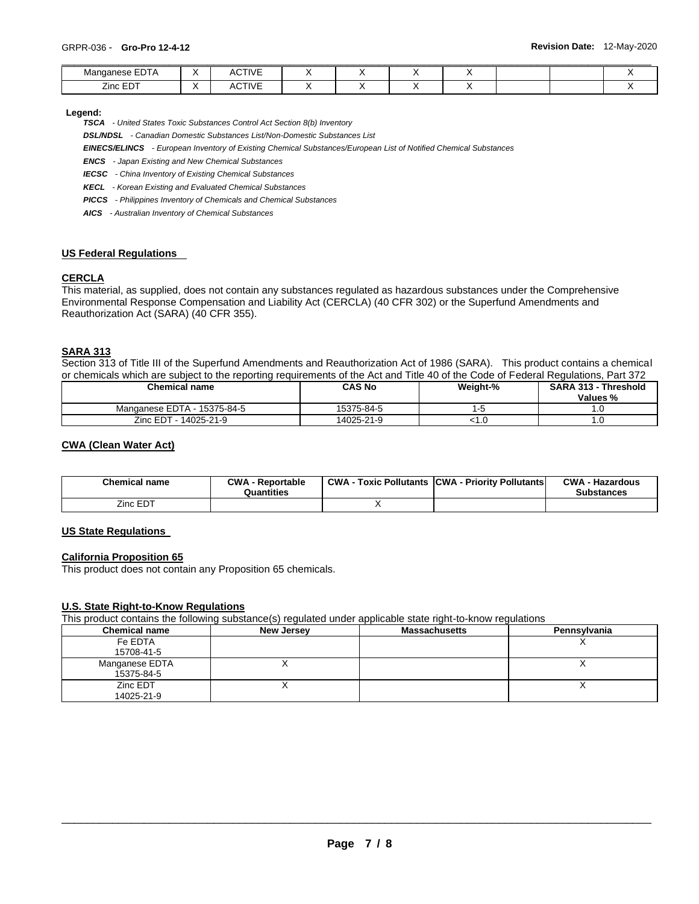| <b>EDTA</b><br>Manganese<br>. . | . . | <b>CTIVE</b><br><u>т</u> |  |  |  |  |
|---------------------------------|-----|--------------------------|--|--|--|--|
| $\angle$ inc F $\Gamma$         | . . | <b>CTIVE</b>             |  |  |  |  |

#### **Legend:**

*TSCA - United States Toxic Substances Control Act Section 8(b) Inventory* 

*DSL/NDSL - Canadian Domestic Substances List/Non-Domestic Substances List* 

*EINECS/ELINCS - European Inventory of Existing Chemical Substances/European List of Notified Chemical Substances* 

*ENCS - Japan Existing and New Chemical Substances* 

*IECSC - China Inventory of Existing Chemical Substances* 

*KECL - Korean Existing and Evaluated Chemical Substances* 

*PICCS - Philippines Inventory of Chemicals and Chemical Substances* 

*AICS - Australian Inventory of Chemical Substances* 

# **US Federal Regulations**

# **CERCLA**

This material, as supplied, does not contain any substances regulated as hazardous substances under the Comprehensive Environmental Response Compensation and Liability Act (CERCLA) (40 CFR 302) or the Superfund Amendments and Reauthorization Act (SARA) (40 CFR 355).

## **SARA 313**

Section 313 of Title III of the Superfund Amendments and Reauthorization Act of 1986 (SARA). This product contains a chemical or chemicals which are subject to the reporting requirements of the Act and Title 40 of the Code of Federal Regulations, Part 372

| Chemical name               | <b>CAS No</b> | Weight-% | <b>SARA 313 - Threshold</b><br>Values % |
|-----------------------------|---------------|----------|-----------------------------------------|
| Manganese EDTA - 15375-84-5 | 15375-84-5    |          |                                         |
| Zinc EDT - 14025-21-9       | 14025-21-9    | ∟.1>     |                                         |

## **CWA (Clean Water Act)**

| <b>Chemical name</b> | <b>CWA - Reportable</b><br>Quantities | CWA- | - Toxic Pollutants CWA - Priority Pollutants | <b>CWA - Hazardous</b><br><b>Substances</b> |
|----------------------|---------------------------------------|------|----------------------------------------------|---------------------------------------------|
| Zinc EDT             |                                       |      |                                              |                                             |

## **US State Regulations**

#### **California Proposition 65**

This product does not contain any Proposition 65 chemicals.

#### **U.S. State Right-to-Know Regulations**

This product contains the following substance(s) regulated under applicable state right-to-know regulations

| <b>Chemical name</b> | New Jersey | <b>Massachusetts</b> | Pennsylvania |
|----------------------|------------|----------------------|--------------|
| Fe EDTA              |            |                      |              |
| 15708-41-5           |            |                      |              |
| Manganese EDTA       |            |                      |              |
| 15375-84-5           |            |                      |              |
| Zinc EDT             | ,,         |                      |              |
| 14025-21-9           |            |                      |              |